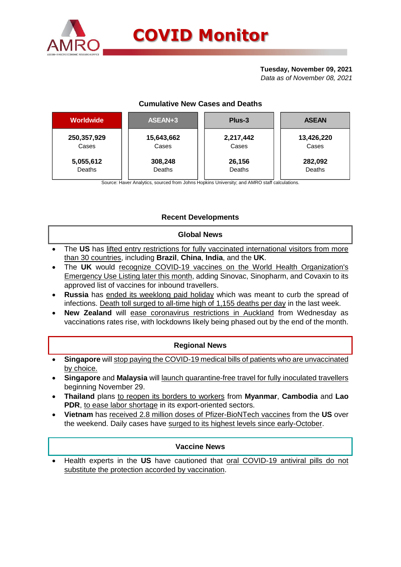

## **Tuesday, November 09, 2021**

*Data as of November 08, 2021*

## **Cumulative New Cases and Deaths**

| <b>Worldwide</b> | ASEAN+3    | Plus-3    | <b>ASEAN</b> |  |  |
|------------------|------------|-----------|--------------|--|--|
| 250,357,929      | 15,643,662 | 2,217,442 | 13,426,220   |  |  |
| Cases            | Cases      | Cases     | Cases        |  |  |
| 5,055,612        | 308,248    | 26,156    | 282,092      |  |  |
| Deaths           | Deaths     | Deaths    | Deaths       |  |  |

Source: Haver Analytics, sourced from Johns Hopkins University; and AMRO staff calculations.

# **Recent Developments**

## **Global News**

- The **US** has lifted entry restrictions for fully vaccinated international visitors from more than 30 countries, including **Brazil**, **China**, **India**, and the **UK**.
- The **UK** would recognize COVID-19 vaccines on the World Health Organization's Emergency Use Listing later this month, adding Sinovac, Sinopharm, and Covaxin to its approved list of vaccines for inbound travellers.
- **Russia** has ended its weeklong paid holiday which was meant to curb the spread of infections. Death toll surged to all-time high of 1,155 deaths per day in the last week.
- **New Zealand** will ease coronavirus restrictions in Auckland from Wednesday as vaccinations rates rise, with lockdowns likely being phased out by the end of the month.

## **Regional News**

- **Singapore** will stop paying the COVID-19 medical bills of patients who are unvaccinated by choice.
- **Singapore** and **Malaysia** will launch quarantine-free travel for fully inoculated travellers beginning November 29.
- **Thailand** plans to reopen its borders to workers from **Myanmar**, **Cambodia** and **Lao PDR**, to ease labor shortage in its export-oriented sectors.
- **Vietnam** has received 2.8 million doses of Pfizer-BioNTech vaccines from the **US** over the weekend. Daily cases have surged to its highest levels since early-October.

## **Vaccine News**

 Health experts in the **US** have cautioned that oral COVID-19 antiviral pills do not substitute the protection accorded by vaccination.